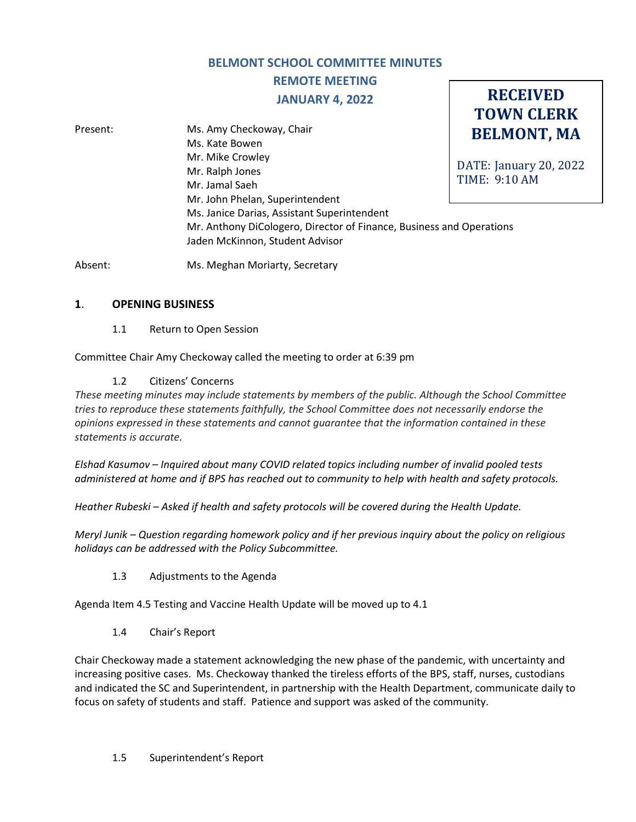### **BELMONT SCHOOL COMMITTEE MINUTES**

# **REMOTE MEETING**

### **JANUARY 4, 2022**

**RECEIVED TOWN CLERK**

| Present: | Ms. Amy Checkoway, Chair                                             | <b>BELMONT, MA</b>     |
|----------|----------------------------------------------------------------------|------------------------|
|          | Ms. Kate Bowen                                                       |                        |
|          | Mr. Mike Crowley                                                     |                        |
|          | Mr. Ralph Jones                                                      | DATE: January 20, 2022 |
|          | Mr. Jamal Saeh                                                       | <b>TIME: 9:10 AM</b>   |
|          | Mr. John Phelan, Superintendent                                      |                        |
|          | Ms. Janice Darias, Assistant Superintendent                          |                        |
|          | Mr. Anthony DiCologero, Director of Finance, Business and Operations |                        |
|          | Jaden McKinnon, Student Advisor                                      |                        |
|          |                                                                      |                        |

Absent: Ms. Meghan Moriarty, Secretary

### **1**. **OPENING BUSINESS**

1.1 Return to Open Session

Committee Chair Amy Checkoway called the meeting to order at 6:39 pm

### 1.2 Citizens' Concerns

*These meeting minutes may include statements by members of the public. Although the School Committee tries to reproduce these statements faithfully, the School Committee does not necessarily endorse the opinions expressed in these statements and cannot guarantee that the information contained in these statements is accurate.*

*Elshad Kasumov – Inquired about many COVID related topics including number of invalid pooled tests administered at home and if BPS has reached out to community to help with health and safety protocols.* 

*Heather Rubeski – Asked if health and safety protocols will be covered during the Health Update.*

*Meryl Junik – Question regarding homework policy and if her previous inquiry about the policy on religious holidays can be addressed with the Policy Subcommittee.*

### 1.3 Adjustments to the Agenda

Agenda Item 4.5 Testing and Vaccine Health Update will be moved up to 4.1

1.4 Chair's Report

Chair Checkoway made a statement acknowledging the new phase of the pandemic, with uncertainty and increasing positive cases. Ms. Checkoway thanked the tireless efforts of the BPS, staff, nurses, custodians and indicated the SC and Superintendent, in partnership with the Health Department, communicate daily to focus on safety of students and staff. Patience and support was asked of the community.

#### 1.5 Superintendent's Report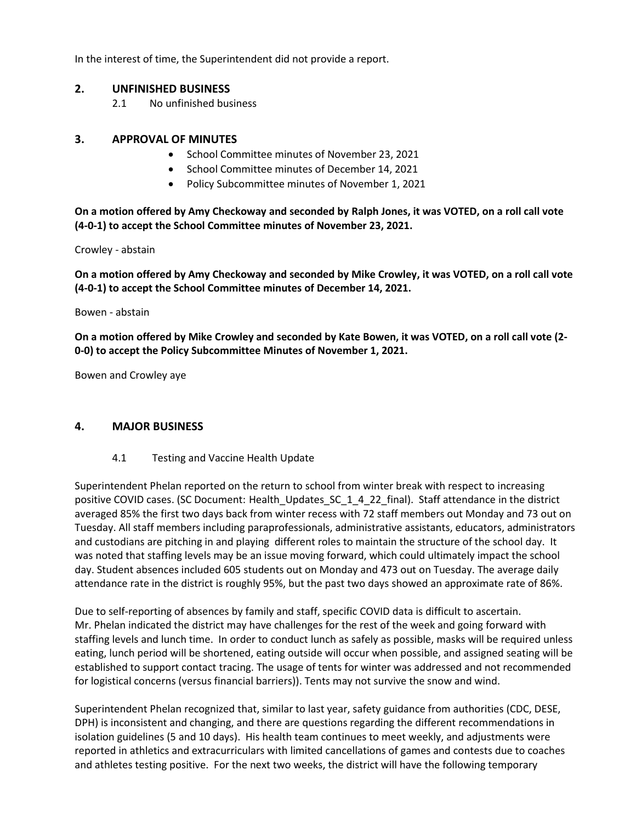In the interest of time, the Superintendent did not provide a report.

### **2. UNFINISHED BUSINESS**

2.1 No unfinished business

### **3. APPROVAL OF MINUTES**

- School Committee minutes of November 23, 2021
- School Committee minutes of December 14, 2021
- Policy Subcommittee minutes of November 1, 2021

**On a motion offered by Amy Checkoway and seconded by Ralph Jones, it was VOTED, on a roll call vote (4-0-1) to accept the School Committee minutes of November 23, 2021.**

Crowley - abstain

**On a motion offered by Amy Checkoway and seconded by Mike Crowley, it was VOTED, on a roll call vote (4-0-1) to accept the School Committee minutes of December 14, 2021.**

Bowen - abstain

**On a motion offered by Mike Crowley and seconded by Kate Bowen, it was VOTED, on a roll call vote (2- 0-0) to accept the Policy Subcommittee Minutes of November 1, 2021.**

Bowen and Crowley aye

#### **4. MAJOR BUSINESS**

4.1 Testing and Vaccine Health Update

Superintendent Phelan reported on the return to school from winter break with respect to increasing positive COVID cases. (SC Document: Health\_Updates\_SC\_1\_4\_22\_final). Staff attendance in the district averaged 85% the first two days back from winter recess with 72 staff members out Monday and 73 out on Tuesday. All staff members including paraprofessionals, administrative assistants, educators, administrators and custodians are pitching in and playing different roles to maintain the structure of the school day. It was noted that staffing levels may be an issue moving forward, which could ultimately impact the school day. Student absences included 605 students out on Monday and 473 out on Tuesday. The average daily attendance rate in the district is roughly 95%, but the past two days showed an approximate rate of 86%.

Due to self-reporting of absences by family and staff, specific COVID data is difficult to ascertain. Mr. Phelan indicated the district may have challenges for the rest of the week and going forward with staffing levels and lunch time. In order to conduct lunch as safely as possible, masks will be required unless eating, lunch period will be shortened, eating outside will occur when possible, and assigned seating will be established to support contact tracing. The usage of tents for winter was addressed and not recommended for logistical concerns (versus financial barriers)). Tents may not survive the snow and wind.

Superintendent Phelan recognized that, similar to last year, safety guidance from authorities (CDC, DESE, DPH) is inconsistent and changing, and there are questions regarding the different recommendations in isolation guidelines (5 and 10 days). His health team continues to meet weekly, and adjustments were reported in athletics and extracurriculars with limited cancellations of games and contests due to coaches and athletes testing positive. For the next two weeks, the district will have the following temporary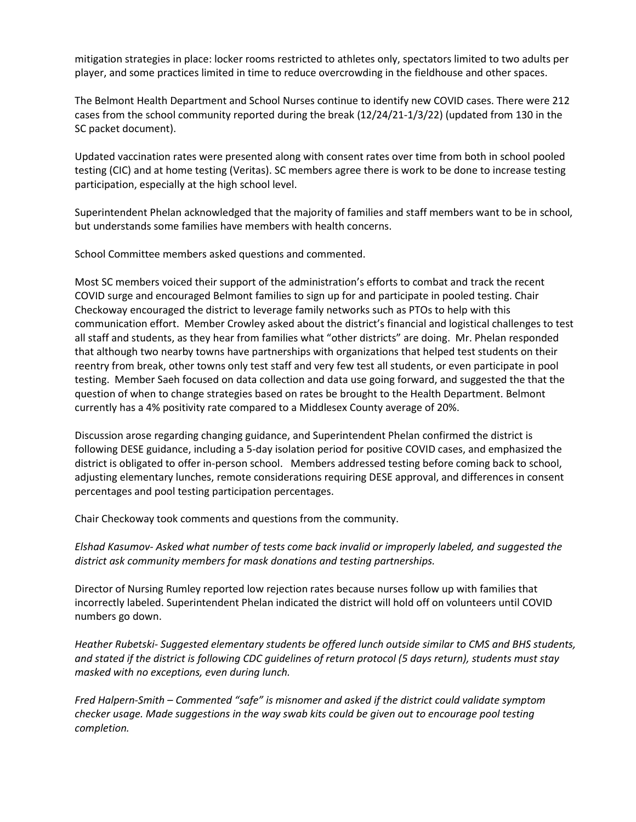mitigation strategies in place: locker rooms restricted to athletes only, spectators limited to two adults per player, and some practices limited in time to reduce overcrowding in the fieldhouse and other spaces.

The Belmont Health Department and School Nurses continue to identify new COVID cases. There were 212 cases from the school community reported during the break (12/24/21-1/3/22) (updated from 130 in the SC packet document).

Updated vaccination rates were presented along with consent rates over time from both in school pooled testing (CIC) and at home testing (Veritas). SC members agree there is work to be done to increase testing participation, especially at the high school level.

Superintendent Phelan acknowledged that the majority of families and staff members want to be in school, but understands some families have members with health concerns.

School Committee members asked questions and commented.

Most SC members voiced their support of the administration's efforts to combat and track the recent COVID surge and encouraged Belmont families to sign up for and participate in pooled testing. Chair Checkoway encouraged the district to leverage family networks such as PTOs to help with this communication effort. Member Crowley asked about the district's financial and logistical challenges to test all staff and students, as they hear from families what "other districts" are doing. Mr. Phelan responded that although two nearby towns have partnerships with organizations that helped test students on their reentry from break, other towns only test staff and very few test all students, or even participate in pool testing. Member Saeh focused on data collection and data use going forward, and suggested the that the question of when to change strategies based on rates be brought to the Health Department. Belmont currently has a 4% positivity rate compared to a Middlesex County average of 20%.

Discussion arose regarding changing guidance, and Superintendent Phelan confirmed the district is following DESE guidance, including a 5-day isolation period for positive COVID cases, and emphasized the district is obligated to offer in-person school. Members addressed testing before coming back to school, adjusting elementary lunches, remote considerations requiring DESE approval, and differences in consent percentages and pool testing participation percentages.

Chair Checkoway took comments and questions from the community.

*Elshad Kasumov- Asked what number of tests come back invalid or improperly labeled, and suggested the district ask community members for mask donations and testing partnerships.* 

Director of Nursing Rumley reported low rejection rates because nurses follow up with families that incorrectly labeled. Superintendent Phelan indicated the district will hold off on volunteers until COVID numbers go down.

*Heather Rubetski- Suggested elementary students be offered lunch outside similar to CMS and BHS students, and stated if the district is following CDC guidelines of return protocol (5 days return), students must stay masked with no exceptions, even during lunch.* 

*Fred Halpern-Smith – Commented "safe" is misnomer and asked if the district could validate symptom checker usage. Made suggestions in the way swab kits could be given out to encourage pool testing completion.*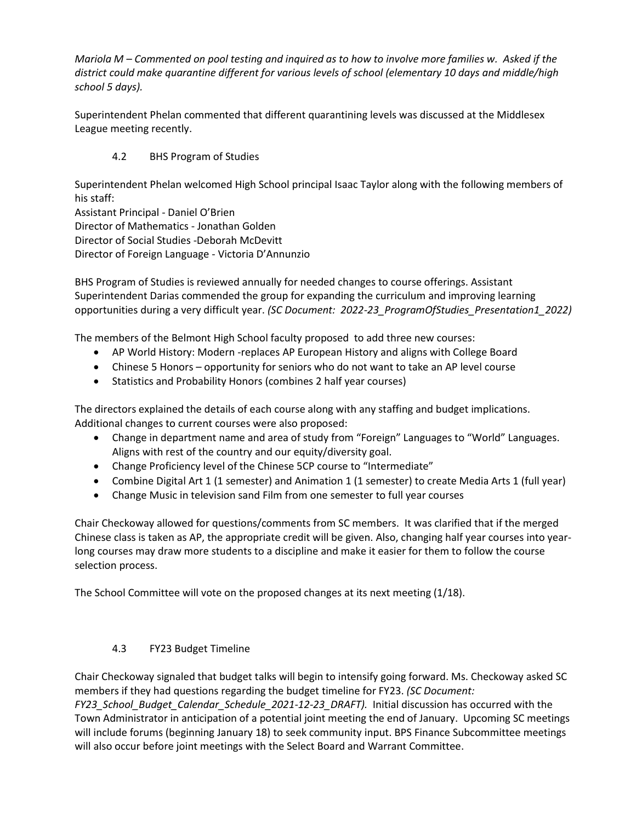*Mariola M – Commented on pool testing and inquired as to how to involve more families w. Asked if the district could make quarantine different for various levels of school (elementary 10 days and middle/high school 5 days).* 

Superintendent Phelan commented that different quarantining levels was discussed at the Middlesex League meeting recently.

## 4.2 BHS Program of Studies

Superintendent Phelan welcomed High School principal Isaac Taylor along with the following members of his staff:

Assistant Principal - Daniel O'Brien Director of Mathematics - Jonathan Golden Director of Social Studies -Deborah McDevitt Director of Foreign Language - Victoria D'Annunzio

BHS Program of Studies is reviewed annually for needed changes to course offerings. Assistant Superintendent Darias commended the group for expanding the curriculum and improving learning opportunities during a very difficult year. *(SC Document: 2022-23\_ProgramOfStudies\_Presentation1\_2022)*

The members of the Belmont High School faculty proposed to add three new courses:

- AP World History: Modern -replaces AP European History and aligns with College Board
- Chinese 5 Honors opportunity for seniors who do not want to take an AP level course
- Statistics and Probability Honors (combines 2 half year courses)

The directors explained the details of each course along with any staffing and budget implications. Additional changes to current courses were also proposed:

- Change in department name and area of study from "Foreign" Languages to "World" Languages. Aligns with rest of the country and our equity/diversity goal.
- Change Proficiency level of the Chinese 5CP course to "Intermediate"
- Combine Digital Art 1 (1 semester) and Animation 1 (1 semester) to create Media Arts 1 (full year)
- Change Music in television sand Film from one semester to full year courses

Chair Checkoway allowed for questions/comments from SC members. It was clarified that if the merged Chinese class is taken as AP, the appropriate credit will be given. Also, changing half year courses into yearlong courses may draw more students to a discipline and make it easier for them to follow the course selection process.

The School Committee will vote on the proposed changes at its next meeting (1/18).

### 4.3 FY23 Budget Timeline

Chair Checkoway signaled that budget talks will begin to intensify going forward. Ms. Checkoway asked SC members if they had questions regarding the budget timeline for FY23. *(SC Document:* 

*FY23\_School\_Budget\_Calendar\_Schedule\_2021-12-23\_DRAFT).* Initial discussion has occurred with the Town Administrator in anticipation of a potential joint meeting the end of January. Upcoming SC meetings will include forums (beginning January 18) to seek community input. BPS Finance Subcommittee meetings will also occur before joint meetings with the Select Board and Warrant Committee.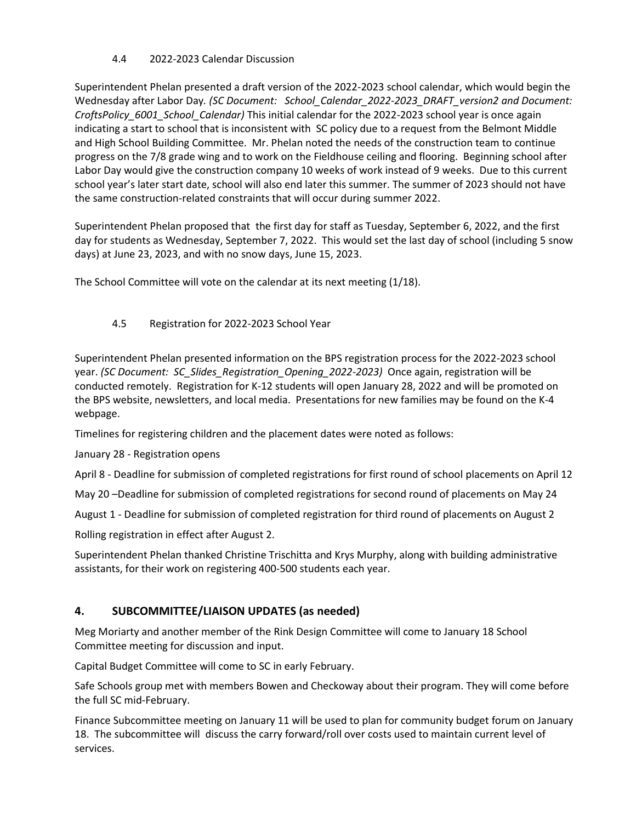### 4.4 2022-2023 Calendar Discussion

Superintendent Phelan presented a draft version of the 2022-2023 school calendar, which would begin the Wednesday after Labor Day*. (SC Document: School\_Calendar\_2022-2023\_DRAFT\_version2 and Document: CroftsPolicy\_6001\_School\_Calendar)* This initial calendar for the 2022-2023 school year is once again indicating a start to school that is inconsistent with SC policy due to a request from the Belmont Middle and High School Building Committee. Mr. Phelan noted the needs of the construction team to continue progress on the 7/8 grade wing and to work on the Fieldhouse ceiling and flooring. Beginning school after Labor Day would give the construction company 10 weeks of work instead of 9 weeks. Due to this current school year's later start date, school will also end later this summer. The summer of 2023 should not have the same construction-related constraints that will occur during summer 2022.

Superintendent Phelan proposed that the first day for staff as Tuesday, September 6, 2022, and the first day for students as Wednesday, September 7, 2022. This would set the last day of school (including 5 snow days) at June 23, 2023, and with no snow days, June 15, 2023.

The School Committee will vote on the calendar at its next meeting (1/18).

### 4.5 Registration for 2022-2023 School Year

Superintendent Phelan presented information on the BPS registration process for the 2022-2023 school year. *(SC Document: SC\_Slides\_Registration\_Opening\_2022-2023)* Once again, registration will be conducted remotely. Registration for K-12 students will open January 28, 2022 and will be promoted on the BPS website, newsletters, and local media. Presentations for new families may be found on the K-4 webpage.

Timelines for registering children and the placement dates were noted as follows:

January 28 - Registration opens

April 8 - Deadline for submission of completed registrations for first round of school placements on April 12

May 20 –Deadline for submission of completed registrations for second round of placements on May 24

August 1 - Deadline for submission of completed registration for third round of placements on August 2

Rolling registration in effect after August 2.

Superintendent Phelan thanked Christine Trischitta and Krys Murphy, along with building administrative assistants, for their work on registering 400-500 students each year.

# **4. SUBCOMMITTEE/LIAISON UPDATES (as needed)**

Meg Moriarty and another member of the Rink Design Committee will come to January 18 School Committee meeting for discussion and input.

Capital Budget Committee will come to SC in early February.

Safe Schools group met with members Bowen and Checkoway about their program. They will come before the full SC mid-February.

Finance Subcommittee meeting on January 11 will be used to plan for community budget forum on January 18. The subcommittee will discuss the carry forward/roll over costs used to maintain current level of services.